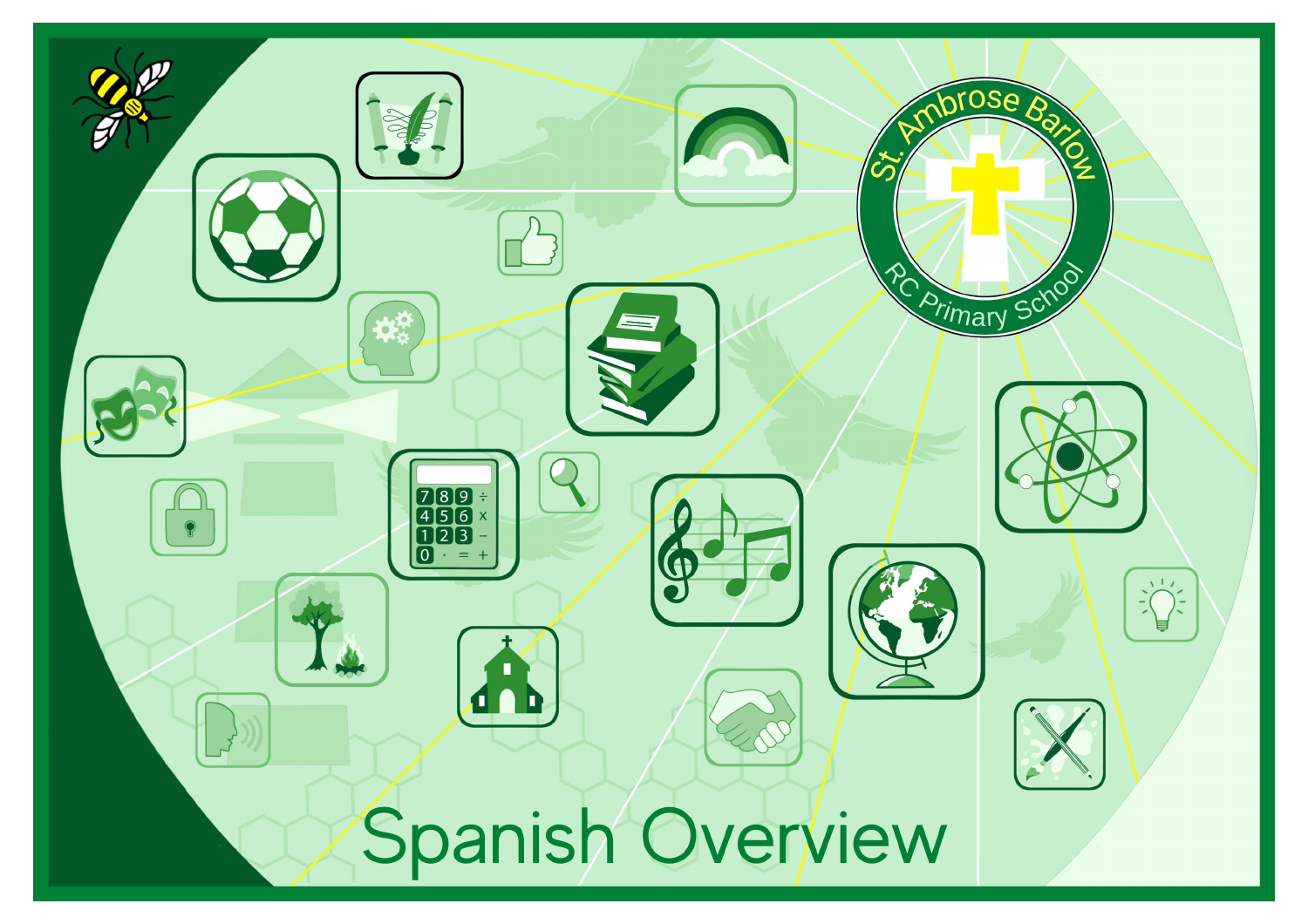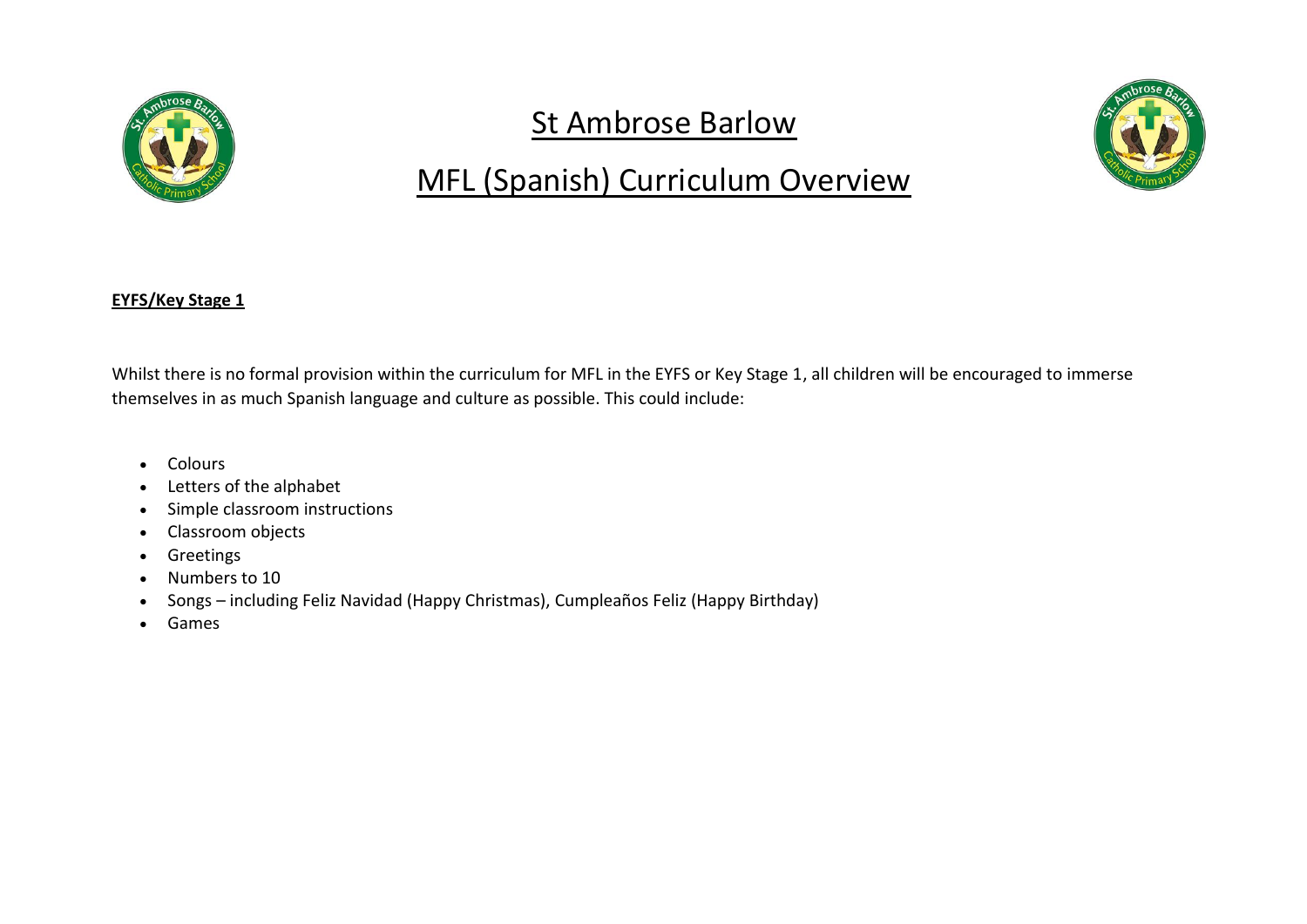

## St Ambrose Barlow



## MFL (Spanish) Curriculum Overview

## **EYFS/Key Stage 1**

Whilst there is no formal provision within the curriculum for MFL in the EYFS or Key Stage 1, all children will be encouraged to immerse themselves in as much Spanish language and culture as possible. This could include:

- Colours
- Letters of the alphabet
- Simple classroom instructions
- Classroom objects
- Greetings
- Numbers to 10
- Songs including Feliz Navidad (Happy Christmas), Cumpleaños Feliz (Happy Birthday)
- Games